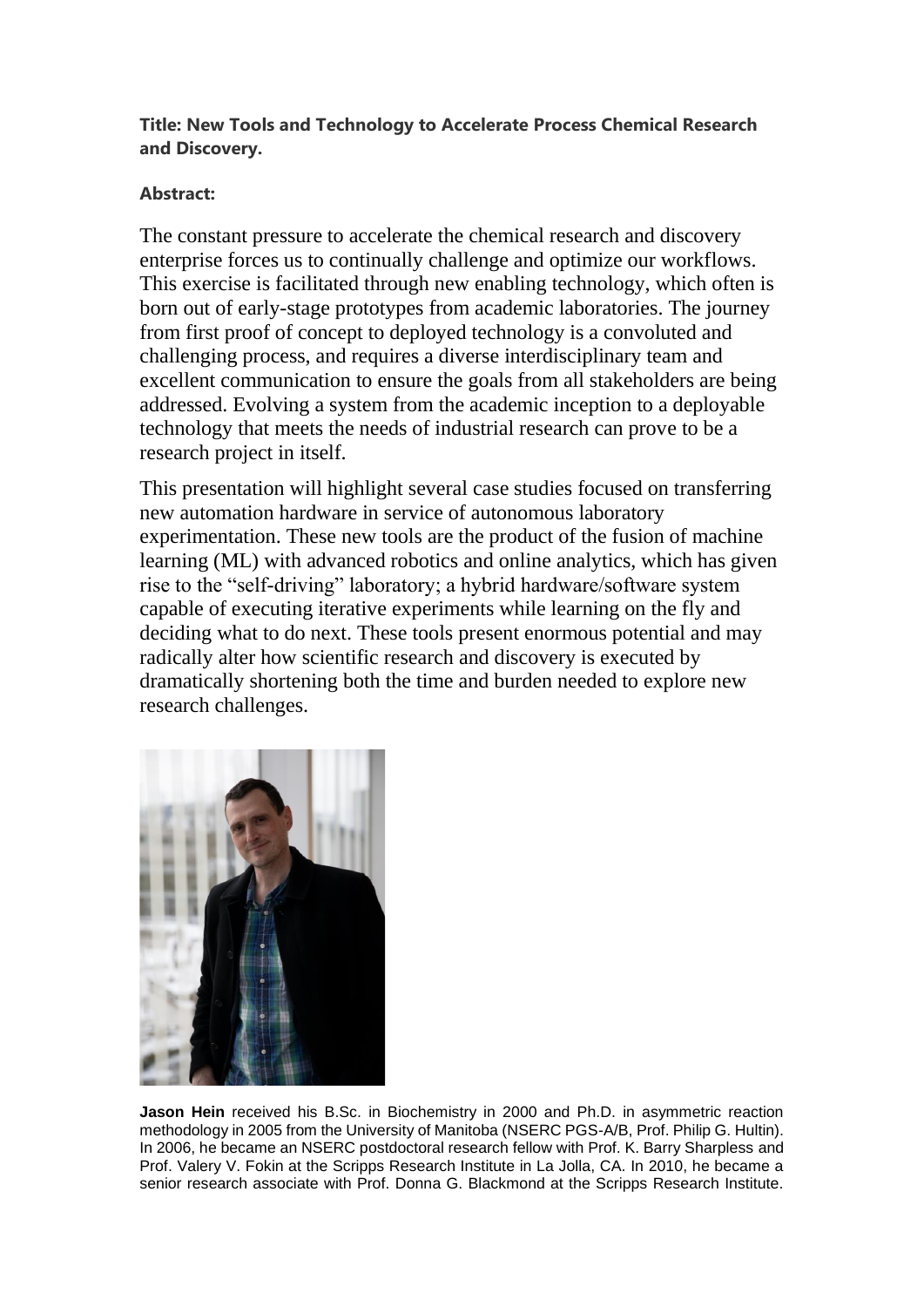## **Title: New Tools and Technology to Accelerate Process Chemical Research and Discovery.**

## **Abstract:**

The constant pressure to accelerate the chemical research and discovery enterprise forces us to continually challenge and optimize our workflows. This exercise is facilitated through new enabling technology, which often is born out of early-stage prototypes from academic laboratories. The journey from first proof of concept to deployed technology is a convoluted and challenging process, and requires a diverse interdisciplinary team and excellent communication to ensure the goals from all stakeholders are being addressed. Evolving a system from the academic inception to a deployable technology that meets the needs of industrial research can prove to be a research project in itself.

This presentation will highlight several case studies focused on transferring new automation hardware in service of autonomous laboratory experimentation. These new tools are the product of the fusion of machine learning (ML) with advanced robotics and online analytics, which has given rise to the "self-driving" laboratory; a hybrid hardware/software system capable of executing iterative experiments while learning on the fly and deciding what to do next. These tools present enormous potential and may radically alter how scientific research and discovery is executed by dramatically shortening both the time and burden needed to explore new research challenges.



**Jason Hein** received his B.Sc. in Biochemistry in 2000 and Ph.D. in asymmetric reaction methodology in 2005 from the University of Manitoba (NSERC PGS-A/B, Prof. Philip G. Hultin). In 2006, he became an NSERC postdoctoral research fellow with Prof. K. Barry Sharpless and Prof. Valery V. Fokin at the Scripps Research Institute in La Jolla, CA. In 2010, he became a senior research associate with Prof. Donna G. Blackmond at the Scripps Research Institute.